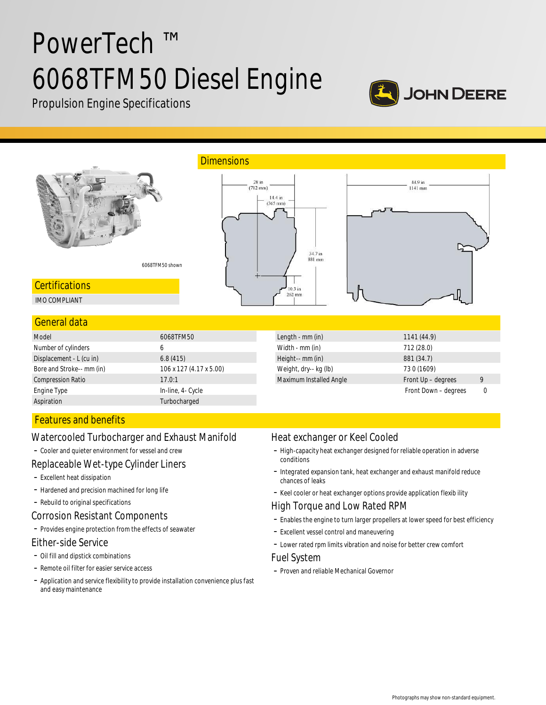# PowerTech ™ 6068TFM50 Diesel Engine



Propulsion Engine Specifications



**Certifications** 

IMO COMPLIANT

## General data

| Model                     | 6068TFM50               |
|---------------------------|-------------------------|
| Number of cylinders       | 6                       |
| Displacement - L (cu in)  | 6.8(415)                |
| Bore and Stroke-- mm (in) | 106 x 127 (4.17 x 5.00) |
| <b>Compression Ratio</b>  | 17.0:1                  |
| Engine Type               | In-line, 4- Cycle       |
| Aspiration                | Turbocharged            |

| Length - mm (in)        | 1141(44.9)           |   |
|-------------------------|----------------------|---|
| Width - mm (in)         | 712 (28.0)           |   |
| Height-- mm (in)        | 881 (34.7)           |   |
| Weight, dry-- kg (lb)   | 730 (1609)           |   |
| Maximum Installed Angle | Front Up - degrees   | 9 |
|                         | Front Down - degrees |   |

# Features and benefits

# Watercooled Turbocharger and Exhaust Manifold

- Cooler and quieter environment for vessel and crew

# Replaceable Wet-type Cylinder Liners

- Excellent heat dissipation
- Hardened and precision machined for long life
- Rebuild to original specifications

# Corrosion Resistant Components

- Provides engine protection from the effects of seawater

#### Either-side Service

- Oil fill and dipstick combinations
- Remote oil filter for easier service access
- Application and service flexibility to provide installation convenience plus fast and easy maintenance

# Heat exchanger or Keel Cooled

- High-capacity heat exchanger designed for reliable operation in adverse conditions
- Integrated expansion tank, heat exchanger and exhaust manifold reduce chances of leaks
- Keel cooler or heat exchanger options provide application flexib ility

# High Torque and Low Rated RPM

- Enables the engine to turn larger propellers at lower speed for best efficiency
- Excellent vessel control and maneuvering
- Lower rated rpm limits vibration and noise for better crew comfort

## Fuel System

 $10.3$ in 262 mm

- Proven and reliable Mechanical Governor